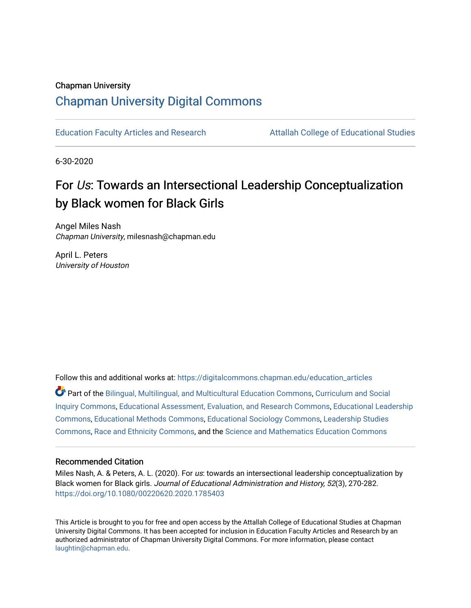#### Chapman University

# [Chapman University Digital Commons](https://digitalcommons.chapman.edu/)

[Education Faculty Articles and Research](https://digitalcommons.chapman.edu/education_articles) [Attallah College of Educational Studies](https://digitalcommons.chapman.edu/ces) 

6-30-2020

# For Us: Towards an Intersectional Leadership Conceptualization by Black women for Black Girls

Angel Miles Nash Chapman University, milesnash@chapman.edu

April L. Peters University of Houston

Follow this and additional works at: [https://digitalcommons.chapman.edu/education\\_articles](https://digitalcommons.chapman.edu/education_articles?utm_source=digitalcommons.chapman.edu%2Feducation_articles%2F311&utm_medium=PDF&utm_campaign=PDFCoverPages)

Part of the [Bilingual, Multilingual, and Multicultural Education Commons,](http://network.bepress.com/hgg/discipline/785?utm_source=digitalcommons.chapman.edu%2Feducation_articles%2F311&utm_medium=PDF&utm_campaign=PDFCoverPages) [Curriculum and Social](http://network.bepress.com/hgg/discipline/1038?utm_source=digitalcommons.chapman.edu%2Feducation_articles%2F311&utm_medium=PDF&utm_campaign=PDFCoverPages)  [Inquiry Commons,](http://network.bepress.com/hgg/discipline/1038?utm_source=digitalcommons.chapman.edu%2Feducation_articles%2F311&utm_medium=PDF&utm_campaign=PDFCoverPages) [Educational Assessment, Evaluation, and Research Commons](http://network.bepress.com/hgg/discipline/796?utm_source=digitalcommons.chapman.edu%2Feducation_articles%2F311&utm_medium=PDF&utm_campaign=PDFCoverPages), [Educational Leadership](http://network.bepress.com/hgg/discipline/1230?utm_source=digitalcommons.chapman.edu%2Feducation_articles%2F311&utm_medium=PDF&utm_campaign=PDFCoverPages) [Commons](http://network.bepress.com/hgg/discipline/1230?utm_source=digitalcommons.chapman.edu%2Feducation_articles%2F311&utm_medium=PDF&utm_campaign=PDFCoverPages), [Educational Methods Commons](http://network.bepress.com/hgg/discipline/1227?utm_source=digitalcommons.chapman.edu%2Feducation_articles%2F311&utm_medium=PDF&utm_campaign=PDFCoverPages), [Educational Sociology Commons](http://network.bepress.com/hgg/discipline/1071?utm_source=digitalcommons.chapman.edu%2Feducation_articles%2F311&utm_medium=PDF&utm_campaign=PDFCoverPages), [Leadership Studies](http://network.bepress.com/hgg/discipline/1250?utm_source=digitalcommons.chapman.edu%2Feducation_articles%2F311&utm_medium=PDF&utm_campaign=PDFCoverPages)  [Commons](http://network.bepress.com/hgg/discipline/1250?utm_source=digitalcommons.chapman.edu%2Feducation_articles%2F311&utm_medium=PDF&utm_campaign=PDFCoverPages), [Race and Ethnicity Commons,](http://network.bepress.com/hgg/discipline/426?utm_source=digitalcommons.chapman.edu%2Feducation_articles%2F311&utm_medium=PDF&utm_campaign=PDFCoverPages) and the [Science and Mathematics Education Commons](http://network.bepress.com/hgg/discipline/800?utm_source=digitalcommons.chapman.edu%2Feducation_articles%2F311&utm_medium=PDF&utm_campaign=PDFCoverPages)

#### Recommended Citation

Miles Nash, A. & Peters, A. L. (2020). For us: towards an intersectional leadership conceptualization by Black women for Black girls. Journal of Educational Administration and History, 52(3), 270-282. <https://doi.org/10.1080/00220620.2020.1785403>

This Article is brought to you for free and open access by the Attallah College of Educational Studies at Chapman University Digital Commons. It has been accepted for inclusion in Education Faculty Articles and Research by an authorized administrator of Chapman University Digital Commons. For more information, please contact [laughtin@chapman.edu.](mailto:laughtin@chapman.edu)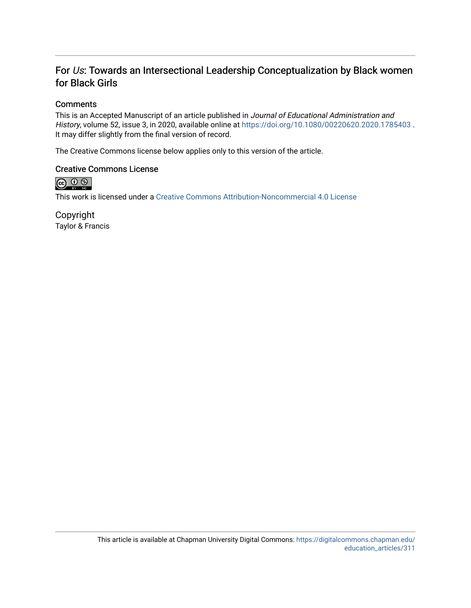# For Us: Towards an Intersectional Leadership Conceptualization by Black women for Black Girls

## **Comments**

This is an Accepted Manuscript of an article published in Journal of Educational Administration and History, volume 52, issue 3, in 2020, available online at<https://doi.org/10.1080/00220620.2020.1785403> . It may differ slightly from the final version of record.

The Creative Commons license below applies only to this version of the article.

## Creative Commons License



This work is licensed under a [Creative Commons Attribution-Noncommercial 4.0 License](https://creativecommons.org/licenses/by-nc/4.0/) 

Copyright Taylor & Francis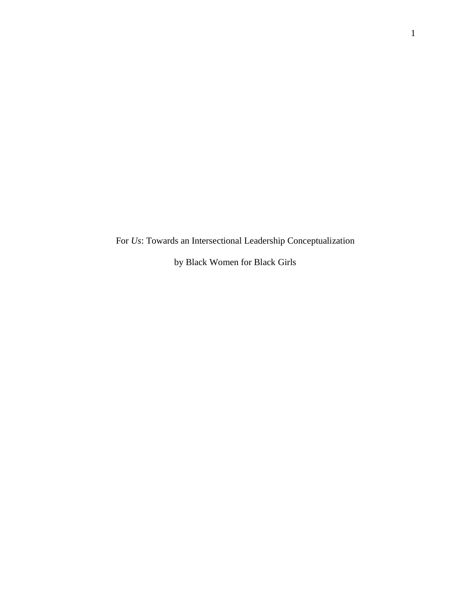For *Us*: Towards an Intersectional Leadership Conceptualization

by Black Women for Black Girls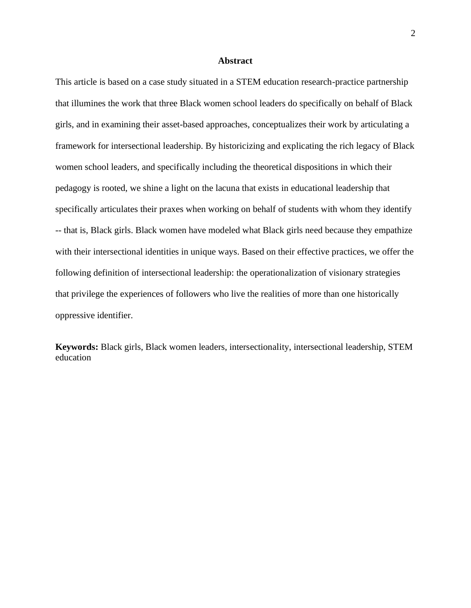#### **Abstract**

This article is based on a case study situated in a STEM education research-practice partnership that illumines the work that three Black women school leaders do specifically on behalf of Black girls, and in examining their asset-based approaches, conceptualizes their work by articulating a framework for intersectional leadership. By historicizing and explicating the rich legacy of Black women school leaders, and specifically including the theoretical dispositions in which their pedagogy is rooted, we shine a light on the lacuna that exists in educational leadership that specifically articulates their praxes when working on behalf of students with whom they identify -- that is, Black girls. Black women have modeled what Black girls need because they empathize with their intersectional identities in unique ways. Based on their effective practices, we offer the following definition of intersectional leadership: the operationalization of visionary strategies that privilege the experiences of followers who live the realities of more than one historically oppressive identifier.

**Keywords:** Black girls, Black women leaders, intersectionality, intersectional leadership, STEM education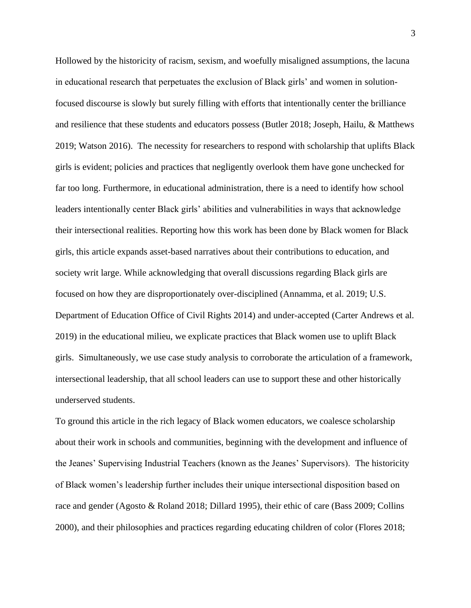Hollowed by the historicity of racism, sexism, and woefully misaligned assumptions, the lacuna in educational research that perpetuates the exclusion of Black girls' and women in solutionfocused discourse is slowly but surely filling with efforts that intentionally center the brilliance and resilience that these students and educators possess (Butler 2018; Joseph, Hailu, & Matthews 2019; Watson 2016). The necessity for researchers to respond with scholarship that uplifts Black girls is evident; policies and practices that negligently overlook them have gone unchecked for far too long. Furthermore, in educational administration, there is a need to identify how school leaders intentionally center Black girls' abilities and vulnerabilities in ways that acknowledge their intersectional realities. Reporting how this work has been done by Black women for Black girls, this article expands asset-based narratives about their contributions to education, and society writ large. While acknowledging that overall discussions regarding Black girls are focused on how they are disproportionately over-disciplined (Annamma, et al. 2019; U.S. Department of Education Office of Civil Rights 2014) and under-accepted (Carter Andrews et al. 2019) in the educational milieu, we explicate practices that Black women use to uplift Black girls. Simultaneously, we use case study analysis to corroborate the articulation of a framework, intersectional leadership, that all school leaders can use to support these and other historically underserved students.

To ground this article in the rich legacy of Black women educators, we coalesce scholarship about their work in schools and communities, beginning with the development and influence of the Jeanes' Supervising Industrial Teachers (known as the Jeanes' Supervisors). The historicity of Black women's leadership further includes their unique intersectional disposition based on race and gender (Agosto & Roland 2018; Dillard 1995), their ethic of care (Bass 2009; Collins 2000), and their philosophies and practices regarding educating children of color (Flores 2018;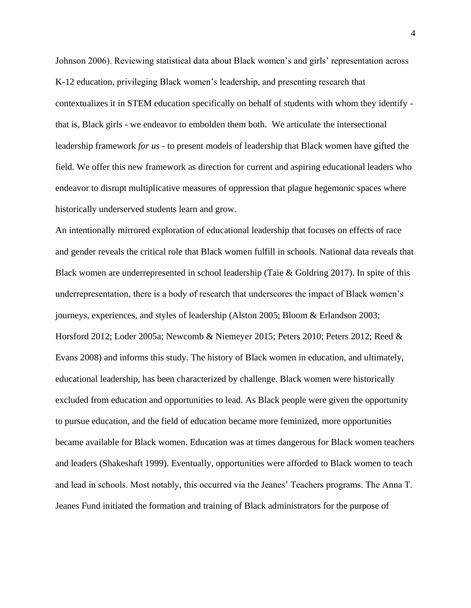Johnson 2006). Reviewing statistical data about Black women's and girls' representation across K-12 education, privileging Black women's leadership, and presenting research that contextualizes it in STEM education specifically on behalf of students with whom they identify that is, Black girls - we endeavor to embolden them both. We articulate the intersectional leadership framework *for us* - to present models of leadership that Black women have gifted the field. We offer this new framework as direction for current and aspiring educational leaders who endeavor to disrupt multiplicative measures of oppression that plague hegemonic spaces where historically underserved students learn and grow.

An intentionally mirrored exploration of educational leadership that focuses on effects of race and gender reveals the critical role that Black women fulfill in schools. National data reveals that Black women are underrepresented in school leadership (Taie & Goldring 2017). In spite of this underrepresentation, there is a body of research that underscores the impact of Black women's journeys, experiences, and styles of leadership (Alston 2005; Bloom & Erlandson 2003; Horsford 2012; Loder 2005a; Newcomb & Niemeyer 2015; Peters 2010; Peters 2012; Reed & Evans 2008) and informs this study. The history of Black women in education, and ultimately, educational leadership, has been characterized by challenge. Black women were historically excluded from education and opportunities to lead. As Black people were given the opportunity to pursue education, and the field of education became more feminized, more opportunities became available for Black women. Education was at times dangerous for Black women teachers and leaders (Shakeshaft 1999). Eventually, opportunities were afforded to Black women to teach and lead in schools. Most notably, this occurred via the Jeanes' Teachers programs. The Anna T. Jeanes Fund initiated the formation and training of Black administrators for the purpose of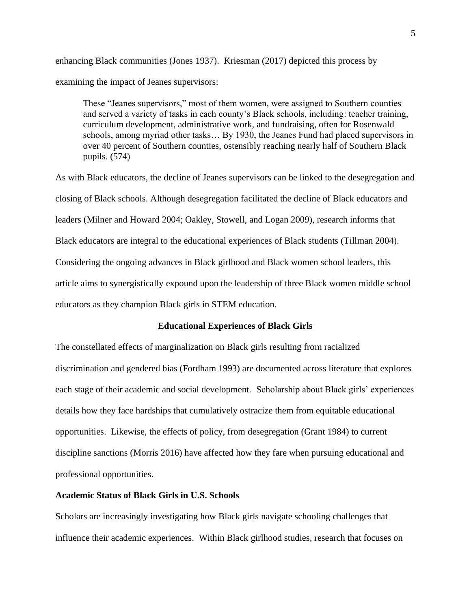enhancing Black communities (Jones 1937). Kriesman (2017) depicted this process by examining the impact of Jeanes supervisors:

These "Jeanes supervisors," most of them women, were assigned to Southern counties and served a variety of tasks in each county's Black schools, including: teacher training, curriculum development, administrative work, and fundraising, often for Rosenwald schools, among myriad other tasks… By 1930, the Jeanes Fund had placed supervisors in over 40 percent of Southern counties, ostensibly reaching nearly half of Southern Black pupils. (574)

As with Black educators, the decline of Jeanes supervisors can be linked to the desegregation and closing of Black schools. Although desegregation facilitated the decline of Black educators and leaders (Milner and Howard 2004; Oakley, Stowell, and Logan 2009), research informs that Black educators are integral to the educational experiences of Black students (Tillman 2004). Considering the ongoing advances in Black girlhood and Black women school leaders, this article aims to synergistically expound upon the leadership of three Black women middle school educators as they champion Black girls in STEM education.

#### **Educational Experiences of Black Girls**

The constellated effects of marginalization on Black girls resulting from racialized discrimination and gendered bias (Fordham 1993) are documented across literature that explores each stage of their academic and social development. Scholarship about Black girls' experiences details how they face hardships that cumulatively ostracize them from equitable educational opportunities. Likewise, the effects of policy, from desegregation (Grant 1984) to current discipline sanctions (Morris 2016) have affected how they fare when pursuing educational and professional opportunities.

#### **Academic Status of Black Girls in U.S. Schools**

Scholars are increasingly investigating how Black girls navigate schooling challenges that influence their academic experiences. Within Black girlhood studies, research that focuses on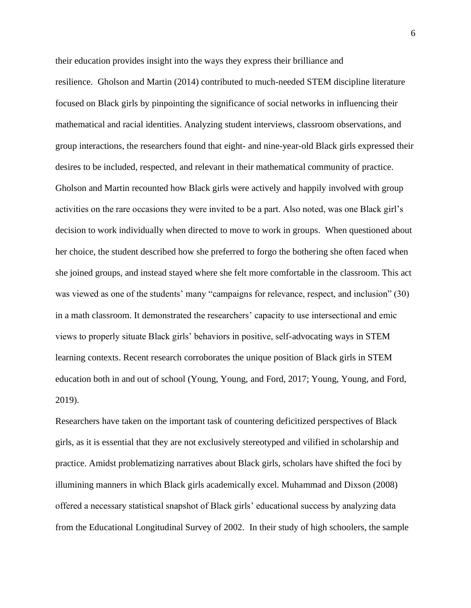their education provides insight into the ways they express their brilliance and resilience. Gholson and Martin (2014) contributed to much-needed STEM discipline literature focused on Black girls by pinpointing the significance of social networks in influencing their mathematical and racial identities. Analyzing student interviews, classroom observations, and group interactions, the researchers found that eight- and nine-year-old Black girls expressed their desires to be included, respected, and relevant in their mathematical community of practice. Gholson and Martin recounted how Black girls were actively and happily involved with group activities on the rare occasions they were invited to be a part. Also noted, was one Black girl's decision to work individually when directed to move to work in groups. When questioned about her choice, the student described how she preferred to forgo the bothering she often faced when she joined groups, and instead stayed where she felt more comfortable in the classroom. This act was viewed as one of the students' many "campaigns for relevance, respect, and inclusion" (30) in a math classroom. It demonstrated the researchers' capacity to use intersectional and emic views to properly situate Black girls' behaviors in positive, self-advocating ways in STEM learning contexts. Recent research corroborates the unique position of Black girls in STEM education both in and out of school (Young, Young, and Ford, 2017; Young, Young, and Ford, 2019).

Researchers have taken on the important task of countering deficitized perspectives of Black girls, as it is essential that they are not exclusively stereotyped and vilified in scholarship and practice. Amidst problematizing narratives about Black girls, scholars have shifted the foci by illumining manners in which Black girls academically excel. Muhammad and Dixson (2008) offered a necessary statistical snapshot of Black girls' educational success by analyzing data from the Educational Longitudinal Survey of 2002. In their study of high schoolers, the sample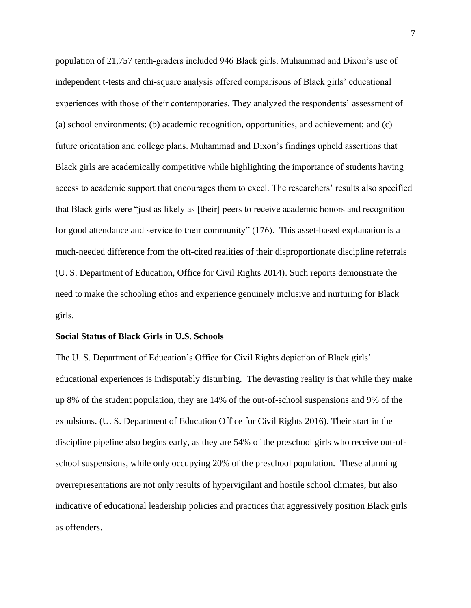population of 21,757 tenth-graders included 946 Black girls. Muhammad and Dixon's use of independent t-tests and chi-square analysis offered comparisons of Black girls' educational experiences with those of their contemporaries. They analyzed the respondents' assessment of (a) school environments; (b) academic recognition, opportunities, and achievement; and (c) future orientation and college plans. Muhammad and Dixon's findings upheld assertions that Black girls are academically competitive while highlighting the importance of students having access to academic support that encourages them to excel. The researchers' results also specified that Black girls were "just as likely as [their] peers to receive academic honors and recognition for good attendance and service to their community" (176). This asset-based explanation is a much-needed difference from the oft-cited realities of their disproportionate discipline referrals (U. S. Department of Education, Office for Civil Rights 2014). Such reports demonstrate the need to make the schooling ethos and experience genuinely inclusive and nurturing for Black girls.

#### **Social Status of Black Girls in U.S. Schools**

The U. S. Department of Education's Office for Civil Rights depiction of Black girls' educational experiences is indisputably disturbing. The devasting reality is that while they make up 8% of the student population, they are 14% of the out-of-school suspensions and 9% of the expulsions. (U. S. Department of Education Office for Civil Rights 2016). Their start in the discipline pipeline also begins early, as they are 54% of the preschool girls who receive out-ofschool suspensions, while only occupying 20% of the preschool population. These alarming overrepresentations are not only results of hypervigilant and hostile school climates, but also indicative of educational leadership policies and practices that aggressively position Black girls as offenders.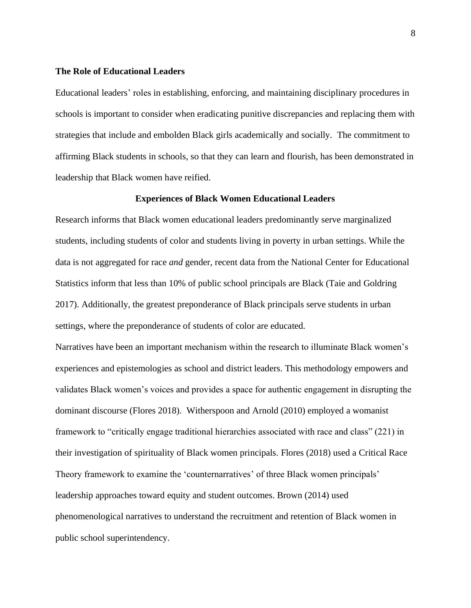#### **The Role of Educational Leaders**

Educational leaders' roles in establishing, enforcing, and maintaining disciplinary procedures in schools is important to consider when eradicating punitive discrepancies and replacing them with strategies that include and embolden Black girls academically and socially. The commitment to affirming Black students in schools, so that they can learn and flourish, has been demonstrated in leadership that Black women have reified.

#### **Experiences of Black Women Educational Leaders**

Research informs that Black women educational leaders predominantly serve marginalized students, including students of color and students living in poverty in urban settings. While the data is not aggregated for race *and* gender, recent data from the National Center for Educational Statistics inform that less than 10% of public school principals are Black (Taie and Goldring 2017). Additionally, the greatest preponderance of Black principals serve students in urban settings, where the preponderance of students of color are educated.

Narratives have been an important mechanism within the research to illuminate Black women's experiences and epistemologies as school and district leaders. This methodology empowers and validates Black women's voices and provides a space for authentic engagement in disrupting the dominant discourse (Flores 2018). Witherspoon and Arnold (2010) employed a womanist framework to "critically engage traditional hierarchies associated with race and class" (221) in their investigation of spirituality of Black women principals. Flores (2018) used a Critical Race Theory framework to examine the 'counternarratives' of three Black women principals' leadership approaches toward equity and student outcomes. Brown (2014) used phenomenological narratives to understand the recruitment and retention of Black women in public school superintendency.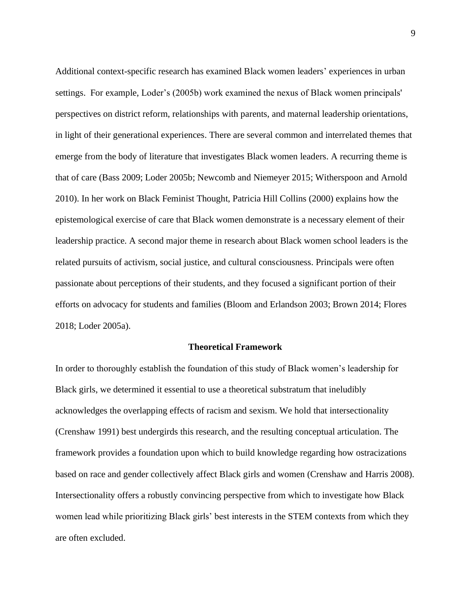Additional context-specific research has examined Black women leaders' experiences in urban settings. For example, Loder's (2005b) work examined the nexus of Black women principals' perspectives on district reform, relationships with parents, and maternal leadership orientations, in light of their generational experiences. There are several common and interrelated themes that emerge from the body of literature that investigates Black women leaders. A recurring theme is that of care (Bass 2009; Loder 2005b; Newcomb and Niemeyer 2015; Witherspoon and Arnold 2010). In her work on Black Feminist Thought, Patricia Hill Collins (2000) explains how the epistemological exercise of care that Black women demonstrate is a necessary element of their leadership practice. A second major theme in research about Black women school leaders is the related pursuits of activism, social justice, and cultural consciousness. Principals were often passionate about perceptions of their students, and they focused a significant portion of their efforts on advocacy for students and families (Bloom and Erlandson 2003; Brown 2014; Flores 2018; Loder 2005a).

#### **Theoretical Framework**

In order to thoroughly establish the foundation of this study of Black women's leadership for Black girls, we determined it essential to use a theoretical substratum that ineludibly acknowledges the overlapping effects of racism and sexism. We hold that intersectionality (Crenshaw 1991) best undergirds this research, and the resulting conceptual articulation. The framework provides a foundation upon which to build knowledge regarding how ostracizations based on race and gender collectively affect Black girls and women (Crenshaw and Harris 2008). Intersectionality offers a robustly convincing perspective from which to investigate how Black women lead while prioritizing Black girls' best interests in the STEM contexts from which they are often excluded.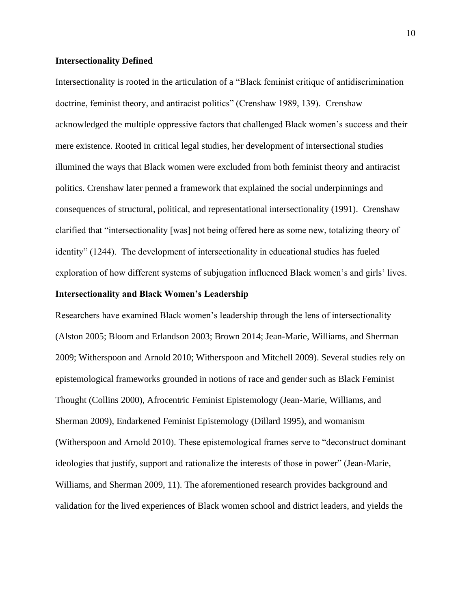#### **Intersectionality Defined**

Intersectionality is rooted in the articulation of a "Black feminist critique of antidiscrimination doctrine, feminist theory, and antiracist politics" (Crenshaw 1989, 139). Crenshaw acknowledged the multiple oppressive factors that challenged Black women's success and their mere existence. Rooted in critical legal studies, her development of intersectional studies illumined the ways that Black women were excluded from both feminist theory and antiracist politics. Crenshaw later penned a framework that explained the social underpinnings and consequences of structural, political, and representational intersectionality (1991). Crenshaw clarified that "intersectionality [was] not being offered here as some new, totalizing theory of identity" (1244). The development of intersectionality in educational studies has fueled exploration of how different systems of subjugation influenced Black women's and girls' lives.

#### **Intersectionality and Black Women's Leadership**

Researchers have examined Black women's leadership through the lens of intersectionality (Alston 2005; Bloom and Erlandson 2003; Brown 2014; Jean-Marie, Williams, and Sherman 2009; Witherspoon and Arnold 2010; Witherspoon and Mitchell 2009). Several studies rely on epistemological frameworks grounded in notions of race and gender such as Black Feminist Thought (Collins 2000), Afrocentric Feminist Epistemology (Jean-Marie, Williams, and Sherman 2009), Endarkened Feminist Epistemology (Dillard 1995), and womanism (Witherspoon and Arnold 2010). These epistemological frames serve to "deconstruct dominant ideologies that justify, support and rationalize the interests of those in power" (Jean-Marie, Williams, and Sherman 2009, 11). The aforementioned research provides background and validation for the lived experiences of Black women school and district leaders, and yields the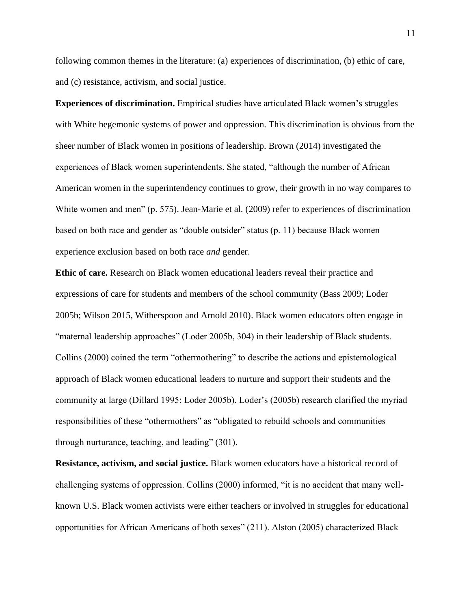following common themes in the literature: (a) experiences of discrimination, (b) ethic of care, and (c) resistance, activism, and social justice.

**Experiences of discrimination.** Empirical studies have articulated Black women's struggles with White hegemonic systems of power and oppression. This discrimination is obvious from the sheer number of Black women in positions of leadership. Brown (2014) investigated the experiences of Black women superintendents. She stated, "although the number of African American women in the superintendency continues to grow, their growth in no way compares to White women and men" (p. 575). Jean-Marie et al. (2009) refer to experiences of discrimination based on both race and gender as "double outsider" status (p. 11) because Black women experience exclusion based on both race *and* gender.

**Ethic of care.** Research on Black women educational leaders reveal their practice and expressions of care for students and members of the school community (Bass 2009; Loder 2005b; Wilson 2015, Witherspoon and Arnold 2010). Black women educators often engage in "maternal leadership approaches" (Loder 2005b, 304) in their leadership of Black students. Collins (2000) coined the term "othermothering" to describe the actions and epistemological approach of Black women educational leaders to nurture and support their students and the community at large (Dillard 1995; Loder 2005b). Loder's (2005b) research clarified the myriad responsibilities of these "othermothers" as "obligated to rebuild schools and communities through nurturance, teaching, and leading" (301).

**Resistance, activism, and social justice.** Black women educators have a historical record of challenging systems of oppression. Collins (2000) informed, "it is no accident that many wellknown U.S. Black women activists were either teachers or involved in struggles for educational opportunities for African Americans of both sexes" (211). Alston (2005) characterized Black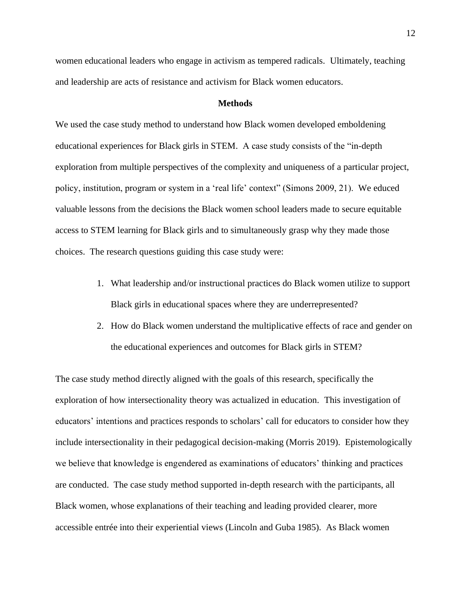women educational leaders who engage in activism as tempered radicals. Ultimately, teaching and leadership are acts of resistance and activism for Black women educators.

#### **Methods**

We used the case study method to understand how Black women developed emboldening educational experiences for Black girls in STEM. A case study consists of the "in-depth exploration from multiple perspectives of the complexity and uniqueness of a particular project, policy, institution, program or system in a 'real life' context" (Simons 2009, 21). We educed valuable lessons from the decisions the Black women school leaders made to secure equitable access to STEM learning for Black girls and to simultaneously grasp why they made those choices. The research questions guiding this case study were:

- 1. What leadership and/or instructional practices do Black women utilize to support Black girls in educational spaces where they are underrepresented?
- 2. How do Black women understand the multiplicative effects of race and gender on the educational experiences and outcomes for Black girls in STEM?

The case study method directly aligned with the goals of this research, specifically the exploration of how intersectionality theory was actualized in education. This investigation of educators' intentions and practices responds to scholars' call for educators to consider how they include intersectionality in their pedagogical decision-making (Morris 2019). Epistemologically we believe that knowledge is engendered as examinations of educators' thinking and practices are conducted. The case study method supported in-depth research with the participants, all Black women, whose explanations of their teaching and leading provided clearer, more accessible entrée into their experiential views (Lincoln and Guba 1985). As Black women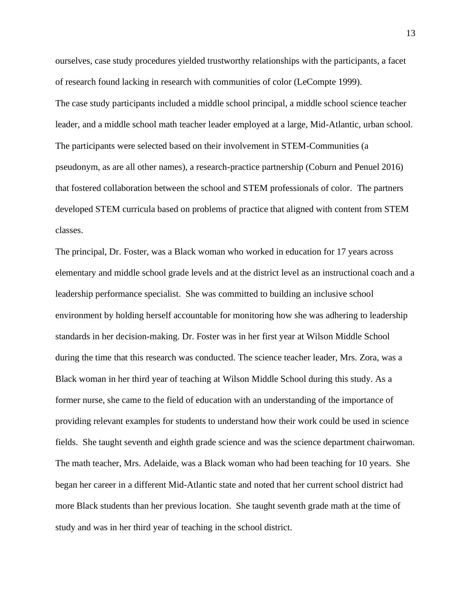ourselves, case study procedures yielded trustworthy relationships with the participants, a facet of research found lacking in research with communities of color (LeCompte 1999). The case study participants included a middle school principal, a middle school science teacher leader, and a middle school math teacher leader employed at a large, Mid-Atlantic, urban school. The participants were selected based on their involvement in STEM-Communities (a pseudonym, as are all other names), a research-practice partnership (Coburn and Penuel 2016) that fostered collaboration between the school and STEM professionals of color. The partners developed STEM curricula based on problems of practice that aligned with content from STEM classes.

The principal, Dr. Foster, was a Black woman who worked in education for 17 years across elementary and middle school grade levels and at the district level as an instructional coach and a leadership performance specialist. She was committed to building an inclusive school environment by holding herself accountable for monitoring how she was adhering to leadership standards in her decision-making. Dr. Foster was in her first year at Wilson Middle School during the time that this research was conducted. The science teacher leader, Mrs. Zora, was a Black woman in her third year of teaching at Wilson Middle School during this study. As a former nurse, she came to the field of education with an understanding of the importance of providing relevant examples for students to understand how their work could be used in science fields. She taught seventh and eighth grade science and was the science department chairwoman. The math teacher, Mrs. Adelaide, was a Black woman who had been teaching for 10 years. She began her career in a different Mid-Atlantic state and noted that her current school district had more Black students than her previous location. She taught seventh grade math at the time of study and was in her third year of teaching in the school district.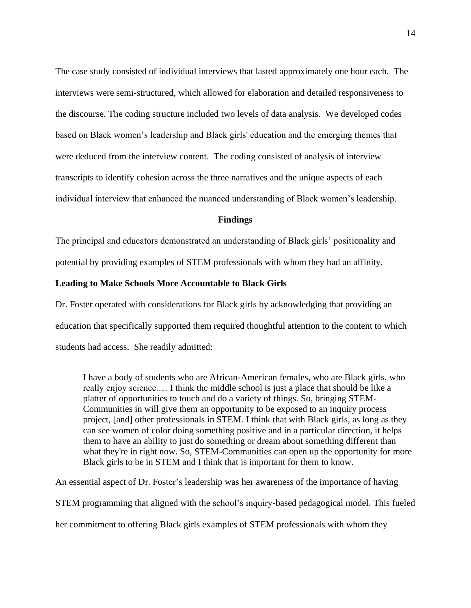The case study consisted of individual interviews that lasted approximately one hour each. The interviews were semi-structured, which allowed for elaboration and detailed responsiveness to the discourse. The coding structure included two levels of data analysis. We developed codes based on Black women's leadership and Black girls' education and the emerging themes that were deduced from the interview content. The coding consisted of analysis of interview transcripts to identify cohesion across the three narratives and the unique aspects of each individual interview that enhanced the nuanced understanding of Black women's leadership.

#### **Findings**

The principal and educators demonstrated an understanding of Black girls' positionality and

potential by providing examples of STEM professionals with whom they had an affinity.

#### **Leading to Make Schools More Accountable to Black Girls**

Dr. Foster operated with considerations for Black girls by acknowledging that providing an education that specifically supported them required thoughtful attention to the content to which students had access. She readily admitted:

I have a body of students who are African-American females, who are Black girls, who really enjoy science.… I think the middle school is just a place that should be like a platter of opportunities to touch and do a variety of things. So, bringing STEM-Communities in will give them an opportunity to be exposed to an inquiry process project, [and] other professionals in STEM. I think that with Black girls, as long as they can see women of color doing something positive and in a particular direction, it helps them to have an ability to just do something or dream about something different than what they're in right now. So, STEM-Communities can open up the opportunity for more Black girls to be in STEM and I think that is important for them to know.

An essential aspect of Dr. Foster's leadership was her awareness of the importance of having

STEM programming that aligned with the school's inquiry-based pedagogical model. This fueled

her commitment to offering Black girls examples of STEM professionals with whom they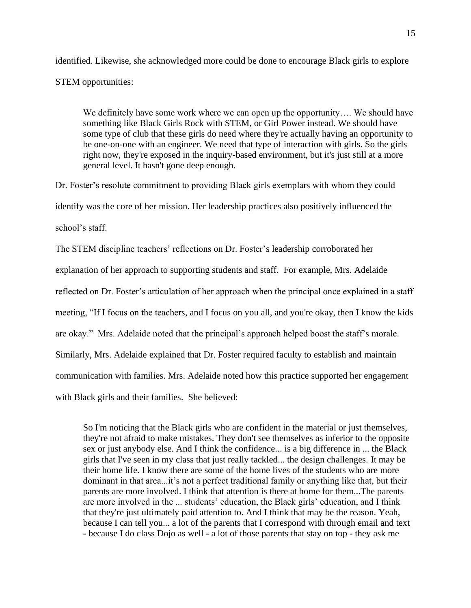identified. Likewise, she acknowledged more could be done to encourage Black girls to explore STEM opportunities:

We definitely have some work where we can open up the opportunity.... We should have something like Black Girls Rock with STEM, or Girl Power instead. We should have some type of club that these girls do need where they're actually having an opportunity to be one-on-one with an engineer. We need that type of interaction with girls. So the girls right now, they're exposed in the inquiry-based environment, but it's just still at a more general level. It hasn't gone deep enough.

Dr. Foster's resolute commitment to providing Black girls exemplars with whom they could identify was the core of her mission. Her leadership practices also positively influenced the school's staff.

The STEM discipline teachers' reflections on Dr. Foster's leadership corroborated her explanation of her approach to supporting students and staff. For example, Mrs. Adelaide reflected on Dr. Foster's articulation of her approach when the principal once explained in a staff meeting, "If I focus on the teachers, and I focus on you all, and you're okay, then I know the kids are okay." Mrs. Adelaide noted that the principal's approach helped boost the staff's morale. Similarly, Mrs. Adelaide explained that Dr. Foster required faculty to establish and maintain communication with families. Mrs. Adelaide noted how this practice supported her engagement with Black girls and their families. She believed:

So I'm noticing that the Black girls who are confident in the material or just themselves, they're not afraid to make mistakes. They don't see themselves as inferior to the opposite sex or just anybody else. And I think the confidence... is a big difference in ... the Black girls that I've seen in my class that just really tackled... the design challenges. It may be their home life. I know there are some of the home lives of the students who are more dominant in that area...it's not a perfect traditional family or anything like that, but their parents are more involved. I think that attention is there at home for them...The parents are more involved in the ... students' education, the Black girls' education, and I think that they're just ultimately paid attention to. And I think that may be the reason. Yeah, because I can tell you... a lot of the parents that I correspond with through email and text - because I do class Dojo as well - a lot of those parents that stay on top - they ask me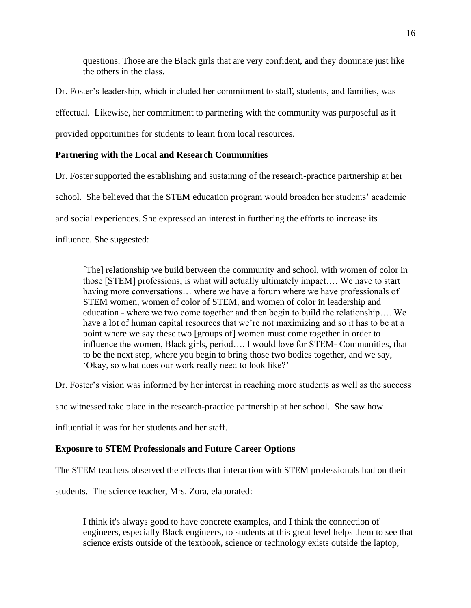questions. Those are the Black girls that are very confident, and they dominate just like the others in the class.

Dr. Foster's leadership, which included her commitment to staff, students, and families, was effectual. Likewise, her commitment to partnering with the community was purposeful as it provided opportunities for students to learn from local resources.

# **Partnering with the Local and Research Communities**

Dr. Foster supported the establishing and sustaining of the research-practice partnership at her school. She believed that the STEM education program would broaden her students' academic and social experiences. She expressed an interest in furthering the efforts to increase its influence. She suggested:

[The] relationship we build between the community and school, with women of color in those [STEM] professions, is what will actually ultimately impact…. We have to start having more conversations... where we have a forum where we have professionals of STEM women, women of color of STEM, and women of color in leadership and education - where we two come together and then begin to build the relationship…. We have a lot of human capital resources that we're not maximizing and so it has to be at a point where we say these two [groups of] women must come together in order to influence the women, Black girls, period…. I would love for STEM- Communities, that to be the next step, where you begin to bring those two bodies together, and we say, 'Okay, so what does our work really need to look like?'

Dr. Foster's vision was informed by her interest in reaching more students as well as the success

she witnessed take place in the research-practice partnership at her school. She saw how

influential it was for her students and her staff.

## **Exposure to STEM Professionals and Future Career Options**

The STEM teachers observed the effects that interaction with STEM professionals had on their

students. The science teacher, Mrs. Zora, elaborated:

I think it's always good to have concrete examples, and I think the connection of engineers, especially Black engineers, to students at this great level helps them to see that science exists outside of the textbook, science or technology exists outside the laptop,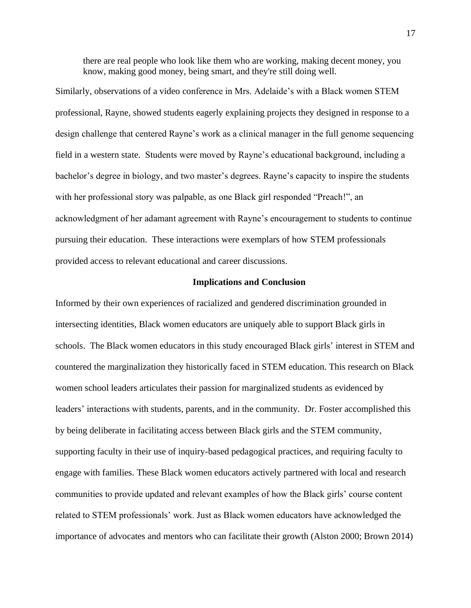there are real people who look like them who are working, making decent money, you know, making good money, being smart, and they're still doing well.

Similarly, observations of a video conference in Mrs. Adelaide's with a Black women STEM professional, Rayne, showed students eagerly explaining projects they designed in response to a design challenge that centered Rayne's work as a clinical manager in the full genome sequencing field in a western state. Students were moved by Rayne's educational background, including a bachelor's degree in biology, and two master's degrees. Rayne's capacity to inspire the students with her professional story was palpable, as one Black girl responded "Preach!", an acknowledgment of her adamant agreement with Rayne's encouragement to students to continue pursuing their education. These interactions were exemplars of how STEM professionals provided access to relevant educational and career discussions.

#### **Implications and Conclusion**

Informed by their own experiences of racialized and gendered discrimination grounded in intersecting identities, Black women educators are uniquely able to support Black girls in schools. The Black women educators in this study encouraged Black girls' interest in STEM and countered the marginalization they historically faced in STEM education. This research on Black women school leaders articulates their passion for marginalized students as evidenced by leaders' interactions with students, parents, and in the community. Dr. Foster accomplished this by being deliberate in facilitating access between Black girls and the STEM community, supporting faculty in their use of inquiry-based pedagogical practices, and requiring faculty to engage with families. These Black women educators actively partnered with local and research communities to provide updated and relevant examples of how the Black girls' course content related to STEM professionals' work. Just as Black women educators have acknowledged the importance of advocates and mentors who can facilitate their growth (Alston 2000; Brown 2014)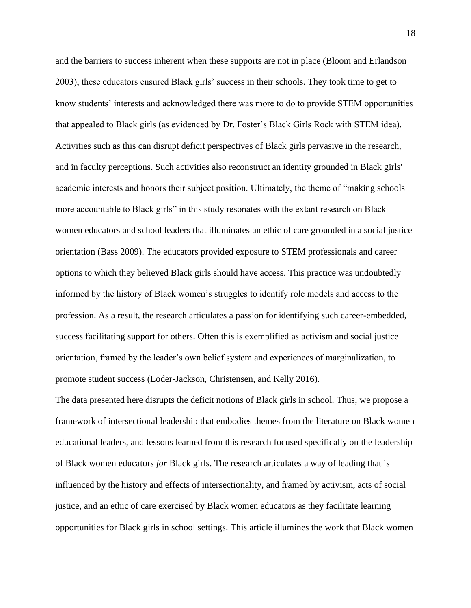and the barriers to success inherent when these supports are not in place (Bloom and Erlandson 2003), these educators ensured Black girls' success in their schools. They took time to get to know students' interests and acknowledged there was more to do to provide STEM opportunities that appealed to Black girls (as evidenced by Dr. Foster's Black Girls Rock with STEM idea). Activities such as this can disrupt deficit perspectives of Black girls pervasive in the research, and in faculty perceptions. Such activities also reconstruct an identity grounded in Black girls' academic interests and honors their subject position. Ultimately, the theme of "making schools more accountable to Black girls" in this study resonates with the extant research on Black women educators and school leaders that illuminates an ethic of care grounded in a social justice orientation (Bass 2009). The educators provided exposure to STEM professionals and career options to which they believed Black girls should have access. This practice was undoubtedly informed by the history of Black women's struggles to identify role models and access to the profession. As a result, the research articulates a passion for identifying such career-embedded, success facilitating support for others. Often this is exemplified as activism and social justice orientation, framed by the leader's own belief system and experiences of marginalization, to promote student success (Loder-Jackson, Christensen, and Kelly 2016).

The data presented here disrupts the deficit notions of Black girls in school. Thus, we propose a framework of intersectional leadership that embodies themes from the literature on Black women educational leaders, and lessons learned from this research focused specifically on the leadership of Black women educators *for* Black girls. The research articulates a way of leading that is influenced by the history and effects of intersectionality, and framed by activism, acts of social justice, and an ethic of care exercised by Black women educators as they facilitate learning opportunities for Black girls in school settings. This article illumines the work that Black women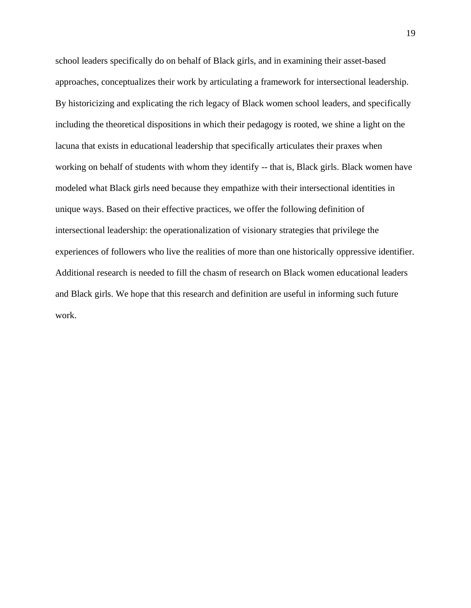school leaders specifically do on behalf of Black girls, and in examining their asset-based approaches, conceptualizes their work by articulating a framework for intersectional leadership. By historicizing and explicating the rich legacy of Black women school leaders, and specifically including the theoretical dispositions in which their pedagogy is rooted, we shine a light on the lacuna that exists in educational leadership that specifically articulates their praxes when working on behalf of students with whom they identify -- that is, Black girls. Black women have modeled what Black girls need because they empathize with their intersectional identities in unique ways. Based on their effective practices, we offer the following definition of intersectional leadership: the operationalization of visionary strategies that privilege the experiences of followers who live the realities of more than one historically oppressive identifier. Additional research is needed to fill the chasm of research on Black women educational leaders and Black girls. We hope that this research and definition are useful in informing such future work.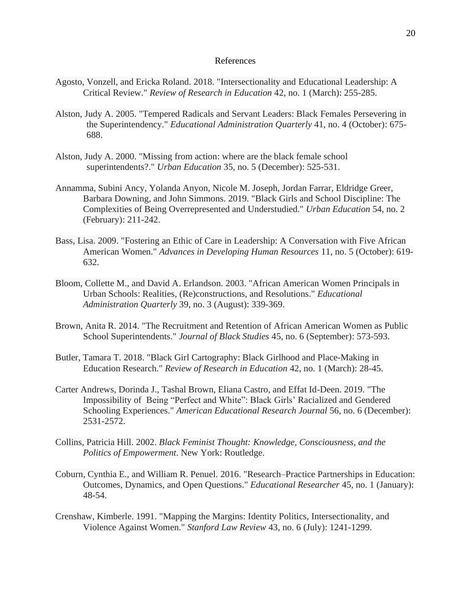#### References

- Agosto, Vonzell, and Ericka Roland. 2018. "Intersectionality and Educational Leadership: A Critical Review." *Review of Research in Education* 42, no. 1 (March): 255-285.
- Alston, Judy A. 2005. "Tempered Radicals and Servant Leaders: Black Females Persevering in the Superintendency." *Educational Administration Quarterly* 41, no. 4 (October): 675- 688.
- Alston, Judy A. 2000. "Missing from action: where are the black female school superintendents?." *Urban Education* 35, no. 5 (December): 525-531.
- Annamma, Subini Ancy, Yolanda Anyon, Nicole M. Joseph, Jordan Farrar, Eldridge Greer, Barbara Downing, and John Simmons. 2019. "Black Girls and School Discipline: The Complexities of Being Overrepresented and Understudied." *Urban Education* 54, no. 2 (February): 211-242.
- Bass, Lisa. 2009. "Fostering an Ethic of Care in Leadership: A Conversation with Five African American Women." *Advances in Developing Human Resources* 11, no. 5 (October): 619- 632.
- Bloom, Collette M., and David A. Erlandson. 2003. "African American Women Principals in Urban Schools: Realities, (Re)constructions, and Resolutions." *Educational Administration Quarterly* 39, no. 3 (August): 339-369.
- Brown, Anita R. 2014. "The Recruitment and Retention of African American Women as Public School Superintendents." *Journal of Black Studies* 45, no. 6 (September): 573-593.
- Butler, Tamara T. 2018. "Black Girl Cartography: Black Girlhood and Place-Making in Education Research." *Review of Research in Education* 42, no. 1 (March): 28-45.
- Carter Andrews, Dorinda J., Tashal Brown, Eliana Castro, and Effat Id-Deen. 2019. "The Impossibility of Being "Perfect and White": Black Girls' Racialized and Gendered Schooling Experiences." *American Educational Research Journal* 56, no. 6 (December): 2531-2572.
- Collins, Patricia Hill. 2002. *Black Feminist Thought: Knowledge, Consciousness, and the Politics of Empowerment*. New York: Routledge.
- Coburn, Cynthia E., and William R. Penuel. 2016. "Research–Practice Partnerships in Education: Outcomes, Dynamics, and Open Questions." *Educational Researcher* 45, no. 1 (January): 48-54.
- Crenshaw, Kimberle. 1991. "Mapping the Margins: Identity Politics, Intersectionality, and Violence Against Women." *Stanford Law Review* 43, no. 6 (July): 1241-1299.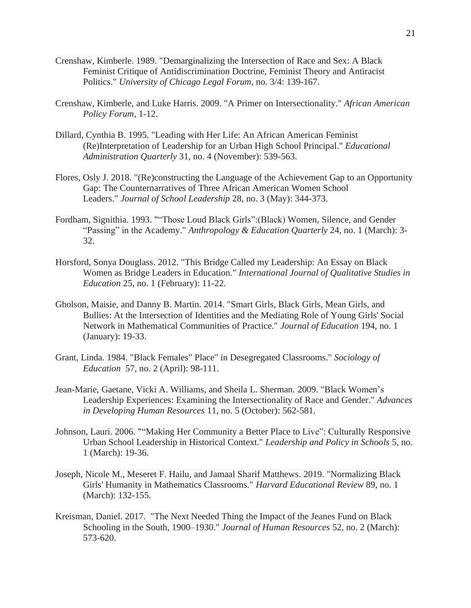- Crenshaw, Kimberle. 1989. "Demarginalizing the Intersection of Race and Sex: A Black Feminist Critique of Antidiscrimination Doctrine, Feminist Theory and Antiracist Politics." *University of Chicago Legal Forum*, no. 3/4: 139-167.
- Crenshaw, Kimberle, and Luke Harris. 2009. "A Primer on Intersectionality." *African American Policy Forum*, 1-12.
- Dillard, Cynthia B. 1995. "Leading with Her Life: An African American Feminist (Re)Interpretation of Leadership for an Urban High School Principal." *Educational Administration Quarterly* 31, no. 4 (November): 539-563.
- Flores, Osly J. 2018. "(Re)constructing the Language of the Achievement Gap to an Opportunity Gap: The Counternarratives of Three African American Women School Leaders." *Journal of School Leadership* 28, no. 3 (May): 344-373.
- Fordham, Signithia. 1993. ""Those Loud Black Girls":(Black) Women, Silence, and Gender "Passing" in the Academy." *Anthropology & Education Quarterly* 24, no. 1 (March): 3- 32.
- Horsford, Sonya Douglass. 2012. "This Bridge Called my Leadership: An Essay on Black Women as Bridge Leaders in Education." *International Journal of Qualitative Studies in Education* 25, no. 1 (February): 11-22.
- Gholson, Maisie, and Danny B. Martin. 2014. "Smart Girls, Black Girls, Mean Girls, and Bullies: At the Intersection of Identities and the Mediating Role of Young Girls' Social Network in Mathematical Communities of Practice." *Journal of Education* 194, no. 1 (January): 19-33.
- Grant, Linda. 1984. "Black Females" Place" in Desegregated Classrooms." *Sociology of Education* 57, no. 2 (April): 98-111.
- Jean-Marie, Gaetane, Vicki A. Williams, and Sheila L. Sherman. 2009. "Black Women's Leadership Experiences: Examining the Intersectionality of Race and Gender." *Advances in Developing Human Resources* 11, no. 5 (October): 562-581.
- Johnson, Lauri. 2006. ""Making Her Community a Better Place to Live": Culturally Responsive Urban School Leadership in Historical Context." *Leadership and Policy in Schools* 5, no. 1 (March): 19-36.
- Joseph, Nicole M., Meseret F. Hailu, and Jamaal Sharif Matthews. 2019. "Normalizing Black Girls' Humanity in Mathematics Classrooms." *Harvard Educational Review* 89, no. 1 (March): 132-155.
- Kreisman, Daniel. 2017. "The Next Needed Thing the Impact of the Jeanes Fund on Black Schooling in the South, 1900–1930." *Journal of Human Resources* 52, no. 2 (March): 573-620.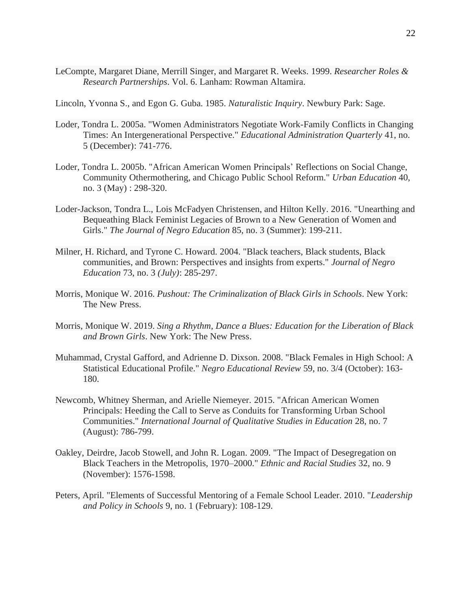- LeCompte, Margaret Diane, Merrill Singer, and Margaret R. Weeks. 1999. *Researcher Roles & Research Partnerships*. Vol. 6. Lanham: Rowman Altamira.
- Lincoln, Yvonna S., and Egon G. Guba. 1985. *Naturalistic Inquiry*. Newbury Park: Sage.
- Loder, Tondra L. 2005a. "Women Administrators Negotiate Work-Family Conflicts in Changing Times: An Intergenerational Perspective." *Educational Administration Quarterly* 41, no. 5 (December): 741-776.
- Loder, Tondra L. 2005b. "African American Women Principals' Reflections on Social Change, Community Othermothering, and Chicago Public School Reform." *Urban Education* 40, no. 3 (May) : 298-320.
- Loder-Jackson, Tondra L., Lois McFadyen Christensen, and Hilton Kelly. 2016. "Unearthing and Bequeathing Black Feminist Legacies of Brown to a New Generation of Women and Girls." *The Journal of Negro Education* 85, no. 3 (Summer): 199-211.
- Milner, H. Richard, and Tyrone C. Howard. 2004. "Black teachers, Black students, Black communities, and Brown: Perspectives and insights from experts." *Journal of Negro Education* 73, no. 3 *(July)*: 285-297.
- Morris, Monique W. 2016. *Pushout: The Criminalization of Black Girls in Schools*. New York: The New Press.
- Morris, Monique W. 2019. *Sing a Rhythm, Dance a Blues: Education for the Liberation of Black and Brown Girls*. New York: The New Press.
- Muhammad, Crystal Gafford, and Adrienne D. Dixson. 2008. "Black Females in High School: A Statistical Educational Profile." *Negro Educational Review* 59, no. 3/4 (October): 163- 180.
- Newcomb, Whitney Sherman, and Arielle Niemeyer. 2015. "African American Women Principals: Heeding the Call to Serve as Conduits for Transforming Urban School Communities." *International Journal of Qualitative Studies in Education* 28, no. 7 (August): 786-799.
- Oakley, Deirdre, Jacob Stowell, and John R. Logan. 2009. "The Impact of Desegregation on Black Teachers in the Metropolis, 1970–2000." *Ethnic and Racial Studies* 32, no. 9 (November): 1576-1598.
- Peters, April. "Elements of Successful Mentoring of a Female School Leader. 2010. "*Leadership and Policy in Schools* 9, no. 1 (February): 108-129.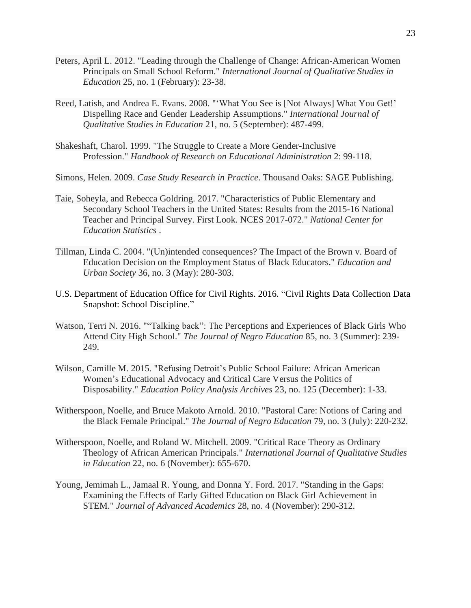- Peters, April L. 2012. "Leading through the Challenge of Change: African-American Women Principals on Small School Reform." *International Journal of Qualitative Studies in Education* 25, no. 1 (February): 23-38.
- Reed, Latish, and Andrea E. Evans. 2008. "'What You See is [Not Always] What You Get!' Dispelling Race and Gender Leadership Assumptions." *International Journal of Qualitative Studies in Education* 21, no. 5 (September): 487-499.
- Shakeshaft, Charol. 1999. "The Struggle to Create a More Gender-Inclusive Profession." *Handbook of Research on Educational Administration* 2: 99-118.

Simons, Helen. 2009. *Case Study Research in Practice*. Thousand Oaks: SAGE Publishing.

- Taie, Soheyla, and Rebecca Goldring. 2017. "Characteristics of Public Elementary and Secondary School Teachers in the United States: Results from the 2015-16 National Teacher and Principal Survey. First Look. NCES 2017-072." *National Center for Education Statistics* .
- Tillman, Linda C. 2004. "(Un)intended consequences? The Impact of the Brown v. Board of Education Decision on the Employment Status of Black Educators." *Education and Urban Society* 36, no. 3 (May): 280-303.
- U.S. Department of Education Office for Civil Rights. 2016. "Civil Rights Data Collection Data Snapshot: School Discipline."
- Watson, Terri N. 2016. ""Talking back": The Perceptions and Experiences of Black Girls Who Attend City High School." *The Journal of Negro Education* 85, no. 3 (Summer): 239- 249.
- Wilson, Camille M. 2015. "Refusing Detroit's Public School Failure: African American Women's Educational Advocacy and Critical Care Versus the Politics of Disposability." *Education Policy Analysis Archives* 23, no. 125 (December): 1-33.
- Witherspoon, Noelle, and Bruce Makoto Arnold. 2010. "Pastoral Care: Notions of Caring and the Black Female Principal." *The Journal of Negro Education* 79, no. 3 (July): 220-232.
- Witherspoon, Noelle, and Roland W. Mitchell. 2009. "Critical Race Theory as Ordinary Theology of African American Principals." *International Journal of Qualitative Studies in Education* 22, no. 6 (November): 655-670.
- Young, Jemimah L., Jamaal R. Young, and Donna Y. Ford. 2017. "Standing in the Gaps: Examining the Effects of Early Gifted Education on Black Girl Achievement in STEM." *Journal of Advanced Academics* 28, no. 4 (November): 290-312.